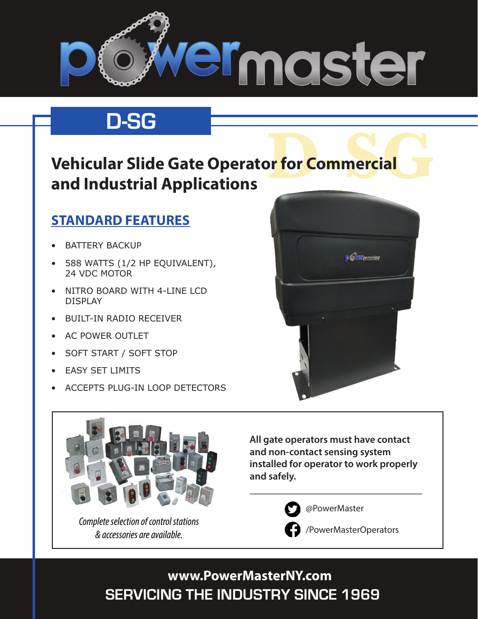

## **D-SG**

# **Dr for Commercial Vehicular Slide Gate Operator for Commercial and Industrial Applications**

### **STANDARD FEATURES**

- **BATTERY BACKUP**
- 588 WATTS (1/2 HP EQUIVALENT), 24 VDC MOTOR
- NITRO BOARD WITH 4-LINE LCD DISPLAY
- • BUILT-IN RADIO RECEIVER
- • AC POWER OUTLET
- SOFT START / SOFT STOP
- **FASY SET LIMITS**
- **ACCEPTS PLUG-IN LOOP DETECTORS**





*Complete selection of control stations & accessories are available.*

**All gate operators must have contact and non-contact sensing system installed for operator to work properly and safely.** 



@PowerMaster

/PowerMasterOperators

**SERVICING THE INDUSTRY SINCE 1969 www.PowerMasterNY.com**